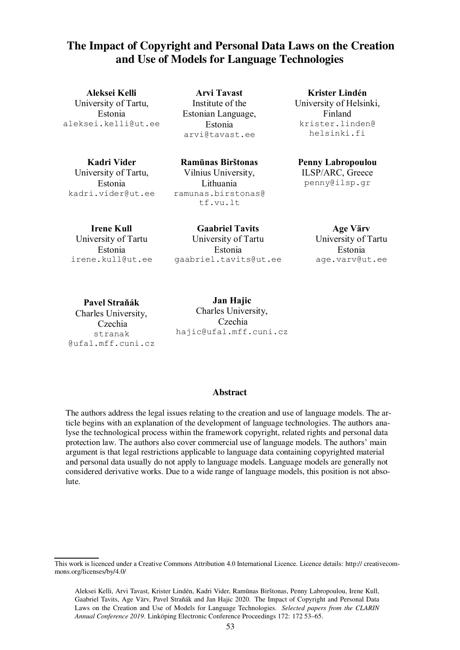## **The Impact of Copyright and Personal Data Laws on the Creation and Use of Models for Language Technologies**

**Aleksei Kelli** University of Tartu, Estonia aleksei.kelli@ut.ee

**Arvi Tavast** Institute of the Estonian Language, Estonia arvi@tavast.ee

**Kadri Vider**

University of Tartu, Estonia kadri.vider@ut.ee

**Ramūnas Birštonas** Vilnius University, Lithuania ramunas.birstonas@ tf.vu.lt

**Krister Lindén** University of Helsinki, Finland krister.linden@ helsinki.fi

# **Penny Labropoulou**

ILSP/ARC, Greece penny@ilsp.gr

**Irene Kull** University of Tartu Estonia irene.kull@ut.ee

**Gaabriel Tavits** University of Tartu Estonia gaabriel.tavits@ut.ee

**Age Värv** University of Tartu Estonia age.varv@ut.ee

**Pavel Straňák**

Charles University, Czechia stranak @ufal.mff.cuni.cz

**Jan Hajic**  Charles University, Czechia hajic@ufal.mff.cuni.cz

#### **Abstract**

The authors address the legal issues relating to the creation and use of language models. The article begins with an explanation of the development of language technologies. The authors analyse the technological process within the framework copyright, related rights and personal data protection law. The authors also cover commercial use of language models. The authors' main argument is that legal restrictions applicable to language data containing copyrighted material and personal data usually do not apply to language models. Language models are generally not considered derivative works. Due to a wide range of language models, this position is not absolute.

This work is licenced under a Creative Commons Attribution 4.0 International Licence. Licence details: http:// creativecommons.org/licenses/by/4.0/

Aleksei Kelli, Arvi Tavast, Krister Lindén, Kadri Vider, Ramunas Birštonas, Penny Labropoulou, Irene Kull, ¯ Gaabriel Tavits, Age Värv, Pavel Straňák and Jan Hajic 2020. The Impact of Copyright and Personal Data Laws on the Creation and Use of Models for Language Technologies. *Selected papers from the CLARIN Annual Conference 2019*. Linköping Electronic Conference Proceedings 172: 172 53–65.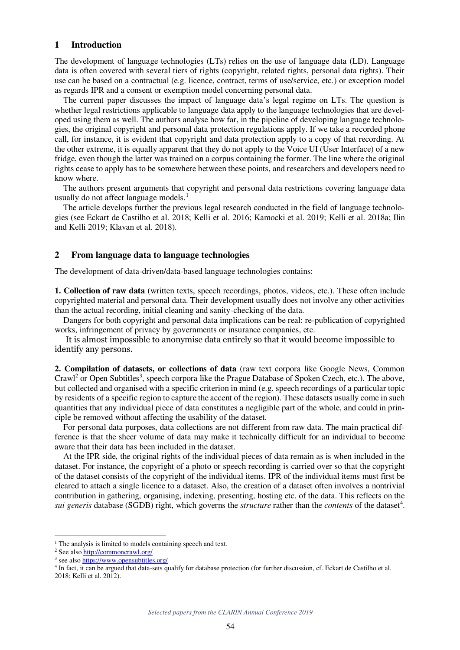#### **1 Introduction**

The development of language technologies (LTs) relies on the use of language data (LD). Language data is often covered with several tiers of rights (copyright, related rights, personal data rights). Their use can be based on a contractual (e.g. licence, contract, terms of use/service, etc.) or exception model as regards IPR and a consent or exemption model concerning personal data.

The current paper discusses the impact of language data's legal regime on LTs. The question is whether legal restrictions applicable to language data apply to the language technologies that are developed using them as well. The authors analyse how far, in the pipeline of developing language technologies, the original copyright and personal data protection regulations apply. If we take a recorded phone call, for instance, it is evident that copyright and data protection apply to a copy of that recording. At the other extreme, it is equally apparent that they do not apply to the Voice UI (User Interface) of a new fridge, even though the latter was trained on a corpus containing the former. The line where the original rights cease to apply has to be somewhere between these points, and researchers and developers need to know where.

The authors present arguments that copyright and personal data restrictions covering language data usually do not affect language models.<sup>1</sup>

The article develops further the previous legal research conducted in the field of language technologies (see Eckart de Castilho et al. 2018; Kelli et al. 2016; Kamocki et al. 2019; Kelli et al. 2018a; Ilin and Kelli 2019; Klavan et al. 2018).

#### **2 From language data to language technologies**

The development of data-driven/data-based language technologies contains:

**1. Collection of raw data** (written texts, speech recordings, photos, videos, etc.). These often include copyrighted material and personal data. Their development usually does not involve any other activities than the actual recording, initial cleaning and sanity-checking of the data.

Dangers for both copyright and personal data implications can be real: re-publication of copyrighted works, infringement of privacy by governments or insurance companies, etc.

It is almost impossible to anonymise data entirely so that it would become impossible to identify any persons.

**2. Compilation of datasets, or collections of data** (raw text corpora like Google News, Common Crawl<sup>2</sup> or Open Subtitles<sup>3</sup>, speech corpora like the Prague Database of Spoken Czech, etc.). The above, but collected and organised with a specific criterion in mind (e.g. speech recordings of a particular topic by residents of a specific region to capture the accent of the region). These datasets usually come in such quantities that any individual piece of data constitutes a negligible part of the whole, and could in principle be removed without affecting the usability of the dataset.

For personal data purposes, data collections are not different from raw data. The main practical difference is that the sheer volume of data may make it technically difficult for an individual to become aware that their data has been included in the dataset.

At the IPR side, the original rights of the individual pieces of data remain as is when included in the dataset. For instance, the copyright of a photo or speech recording is carried over so that the copyright of the dataset consists of the copyright of the individual items. IPR of the individual items must first be cleared to attach a single licence to a dataset. Also, the creation of a dataset often involves a nontrivial contribution in gathering, organising, indexing, presenting, hosting etc. of the data. This reflects on the *sui generis* database (SGDB) right, which governs the *structure* rather than the *contents* of the dataset 4 .

<sup>&</sup>lt;sup>1</sup> The analysis is limited to models containing speech and text.

<sup>&</sup>lt;sup>2</sup> See also **http://commoncrawl.org/** 

<sup>&</sup>lt;sup>3</sup> see also https://www.opensubtitles.org/

<sup>4</sup> In fact, it can be argued that data-sets qualify for database protection (for further discussion, cf. Eckart de Castilho et al. 2018; Kelli et al. 2012).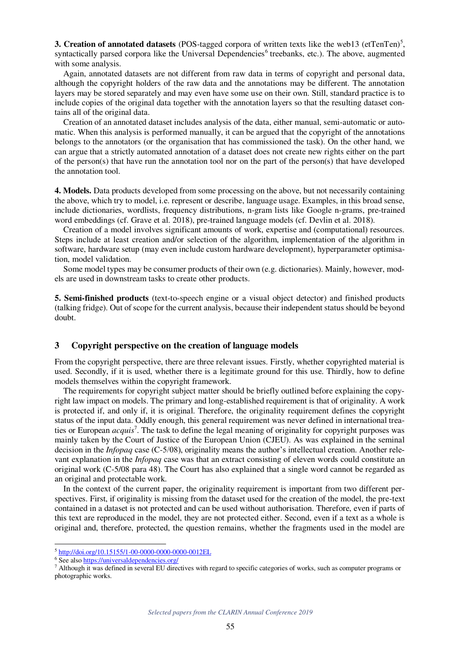**3. Creation of annotated datasets** (POS-tagged corpora of written texts like the web13 (etTenTen)<sup>5</sup>, syntactically parsed corpora like the Universal Dependencies<sup>6</sup> treebanks, etc.). The above, augmented with some analysis.

Again, annotated datasets are not different from raw data in terms of copyright and personal data, although the copyright holders of the raw data and the annotations may be different. The annotation layers may be stored separately and may even have some use on their own. Still, standard practice is to include copies of the original data together with the annotation layers so that the resulting dataset contains all of the original data.

Creation of an annotated dataset includes analysis of the data, either manual, semi-automatic or automatic. When this analysis is performed manually, it can be argued that the copyright of the annotations belongs to the annotators (or the organisation that has commissioned the task). On the other hand, we can argue that a strictly automated annotation of a dataset does not create new rights either on the part of the person(s) that have run the annotation tool nor on the part of the person(s) that have developed the annotation tool.

**4. Models.** Data products developed from some processing on the above, but not necessarily containing the above, which try to model, i.e. represent or describe, language usage. Examples, in this broad sense, include dictionaries, wordlists, frequency distributions, n-gram lists like Google n-grams, pre-trained word embeddings (cf. Grave et al. 2018), pre-trained language models (cf. Devlin et al. 2018).

Creation of a model involves significant amounts of work, expertise and (computational) resources. Steps include at least creation and/or selection of the algorithm, implementation of the algorithm in software, hardware setup (may even include custom hardware development), hyperparameter optimisation, model validation.

Some model types may be consumer products of their own (e.g. dictionaries). Mainly, however, models are used in downstream tasks to create other products.

**5. Semi-finished products** (text-to-speech engine or a visual object detector) and finished products (talking fridge). Out of scope for the current analysis, because their independent status should be beyond doubt.

#### **3 Copyright perspective on the creation of language models**

From the copyright perspective, there are three relevant issues. Firstly, whether copyrighted material is used. Secondly, if it is used, whether there is a legitimate ground for this use. Thirdly, how to define models themselves within the copyright framework.

The requirements for copyright subject matter should be briefly outlined before explaining the copyright law impact on models. The primary and long-established requirement is that of originality. A work is protected if, and only if, it is original. Therefore, the originality requirement defines the copyright status of the input data. Oddly enough, this general requirement was never defined in international treaties or European *acquis* 7 . The task to define the legal meaning of originality for copyright purposes was mainly taken by the Court of Justice of the European Union (CJEU). As was explained in the seminal decision in the *Infopaq* case (C-5/08), originality means the author's intellectual creation. Another relevant explanation in the *Infopaq* case was that an extract consisting of eleven words could constitute an original work (C-5/08 para 48). The Court has also explained that a single word cannot be regarded as an original and protectable work.

In the context of the current paper, the originality requirement is important from two different perspectives. First, if originality is missing from the dataset used for the creation of the model, the pre-text contained in a dataset is not protected and can be used without authorisation. Therefore, even if parts of this text are reproduced in the model, they are not protected either. Second, even if a text as a whole is original and, therefore, protected, the question remains, whether the fragments used in the model are

<sup>&</sup>lt;sup>5</sup> http://doi.org/10.15155/1-00-0000-0000-0000-0012EL

<sup>&</sup>lt;sup>6</sup> See also **https://universaldependencies.org/** 

<sup>&</sup>lt;sup>7</sup> Although it was defined in several EU directives with regard to specific categories of works, such as computer programs or photographic works.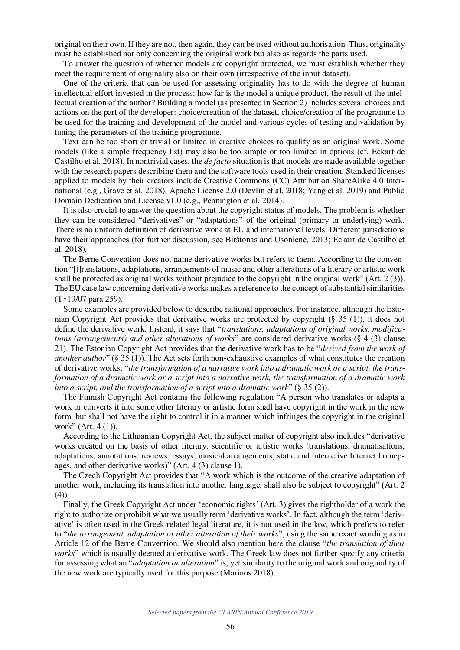original on their own. If they are not, then again, they can be used without authorisation. Thus, originality must be established not only concerning the original work but also as regards the parts used.

To answer the question of whether models are copyright protected, we must establish whether they meet the requirement of originality also on their own (irrespective of the input dataset).

One of the criteria that can be used for assessing originality has to do with the degree of human intellectual effort invested in the process: how far is the model a unique product, the result of the intellectual creation of the author? Building a model (as presented in Section 2) includes several choices and actions on the part of the developer: choice/creation of the dataset, choice/creation of the programme to be used for the training and development of the model and various cycles of testing and validation by tuning the parameters of the training programme.

Text can be too short or trivial or limited in creative choices to qualify as an original work. Some models (like a simple frequency list) may also be too simple or too limited in options (cf. Eckart de Castilho et al. 2018). In nontrivial cases, the *de facto* situation is that models are made available together with the research papers describing them and the software tools used in their creation. Standard licenses applied to models by their creators include Creative Commons (CC) Attribution ShareAlike 4.0 International (e.g., Grave et al. 2018), Apache License 2.0 (Devlin et al. 2018; Yang et al. 2019) and Public Domain Dedication and License v1.0 (e.g., Pennington et al. 2014).

It is also crucial to answer the question about the copyright status of models. The problem is whether they can be considered "derivatives" or "adaptations" of the original (primary or underlying) work. There is no uniform definition of derivative work at EU and international levels. Different jurisdictions have their approaches (for further discussion, see Birštonas and Usonienė, 2013; Eckart de Castilho et al. 2018).

The Berne Convention does not name derivative works but refers to them. According to the convention "[t]ranslations, adaptations, arrangements of music and other alterations of a literary or artistic work shall be protected as original works without prejudice to the copyright in the original work" (Art. 2 (3)). The EU case law concerning derivative works makes a reference to the concept of substantial similarities (T‑19/07 para 259).

Some examples are provided below to describe national approaches. For instance, although the Estonian Copyright Act provides that derivative works are protected by copyright (§ 35 (1)), it does not define the derivative work. Instead, it says that "*translations, adaptations of original works, modifications (arrangements) and other alterations of works*" are considered derivative works (§ 4 (3) clause 21). The Estonian Copyright Act provides that the derivative work has to be "*derived from the work of another author*" (§ 35 (1)). The Act sets forth non-exhaustive examples of what constitutes the creation of derivative works: "*the transformation of a narrative work into a dramatic work or a script, the transformation of a dramatic work or a script into a narrative work, the transformation of a dramatic work into a script, and the transformation of a script into a dramatic work*" (§ 35 (2)).

The Finnish Copyright Act contains the following regulation "A person who translates or adapts a work or converts it into some other literary or artistic form shall have copyright in the work in the new form, but shall not have the right to control it in a manner which infringes the copyright in the original work" (Art. 4 (1)).

According to the Lithuanian Copyright Act, the subject matter of copyright also includes "derivative works created on the basis of other literary, scientific or artistic works (translations, dramatisations, adaptations, annotations, reviews, essays, musical arrangements, static and interactive Internet homepages, and other derivative works)" (Art. 4 (3) clause 1).

The Czech Copyright Act provides that "A work which is the outcome of the creative adaptation of another work, including its translation into another language, shall also be subject to copyright" (Art. 2  $(4)$ ).

Finally, the Greek Copyright Act under 'economic rights' (Art. 3) gives the rightholder of a work the right to authorize or prohibit what we usually term 'derivative works'. In fact, although the term 'derivative' is often used in the Greek related legal literature, it is not used in the law, which prefers to refer to "*the arrangement, adaptation or other alteration of their works*", using the same exact wording as in Article 12 of the Berne Convention. We should also mention here the clause "*the translation of their works*" which is usually deemed a derivative work. The Greek law does not further specify any criteria for assessing what an "*adaptation or alteration*" is, yet similarity to the original work and originality of the new work are typically used for this purpose (Marinos 2018).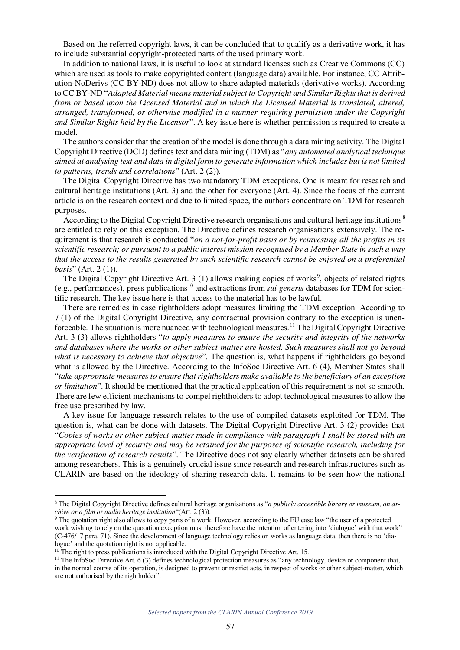Based on the referred copyright laws, it can be concluded that to qualify as a derivative work, it has to include substantial copyright-protected parts of the used primary work.

In addition to national laws, it is useful to look at standard licenses such as Creative Commons (CC) which are used as tools to make copyrighted content (language data) available. For instance, CC Attribution-NoDerivs (CC BY-ND) does not allow to share adapted materials (derivative works). According to CC BY-ND "*Adapted Material means material subject to Copyright and Similar Rights that is derived from or based upon the Licensed Material and in which the Licensed Material is translated, altered, arranged, transformed, or otherwise modified in a manner requiring permission under the Copyright and Similar Rights held by the Licensor*". A key issue here is whether permission is required to create a model.

The authors consider that the creation of the model is done through a data mining activity. The Digital Copyright Directive (DCD) defines text and data mining (TDM) as "*any automated analytical technique aimed at analysing text and data in digital form to generate information which includes but is not limited to patterns, trends and correlations*" (Art. 2 (2)).

The Digital Copyright Directive has two mandatory TDM exceptions. One is meant for research and cultural heritage institutions (Art. 3) and the other for everyone (Art. 4). Since the focus of the current article is on the research context and due to limited space, the authors concentrate on TDM for research purposes.

According to the Digital Copyright Directive research organisations and cultural heritage institutions<sup>8</sup> are entitled to rely on this exception. The Directive defines research organisations extensively. The requirement is that research is conducted "*on a not-for-profit basis or by reinvesting all the profits in its scientific research; or pursuant to a public interest mission recognised by a Member State in such a way that the access to the results generated by such scientific research cannot be enjoyed on a preferential basis*" (Art. 2 (1)).

The Digital Copyright Directive Art. 3 (1) allows making copies of works<sup>9</sup>, objects of related rights (e.g., performances), press publications 10 and extractions from *sui generis* databases for TDM for scientific research. The key issue here is that access to the material has to be lawful.

There are remedies in case rightholders adopt measures limiting the TDM exception. According to 7 (1) of the Digital Copyright Directive, any contractual provision contrary to the exception is unenforceable. The situation is more nuanced with technological measures.<sup>11</sup> The Digital Copyright Directive Art. 3 (3) allows rightholders "*to apply measures to ensure the security and integrity of the networks and databases where the works or other subject-matter are hosted. Such measures shall not go beyond what is necessary to achieve that objective*". The question is, what happens if rightholders go beyond what is allowed by the Directive. According to the InfoSoc Directive Art. 6 (4), Member States shall "*take appropriate measures to ensure that rightholders make available to the beneficiary of an exception or limitation*". It should be mentioned that the practical application of this requirement is not so smooth. There are few efficient mechanisms to compel rightholders to adopt technological measures to allow the free use prescribed by law.

A key issue for language research relates to the use of compiled datasets exploited for TDM. The question is, what can be done with datasets. The Digital Copyright Directive Art. 3 (2) provides that "*Copies of works or other subject-matter made in compliance with paragraph 1 shall be stored with an appropriate level of security and may be retained for the purposes of scientific research, including for the verification of research results*". The Directive does not say clearly whether datasets can be shared among researchers. This is a genuinely crucial issue since research and research infrastructures such as CLARIN are based on the ideology of sharing research data. It remains to be seen how the national

<sup>8</sup> The Digital Copyright Directive defines cultural heritage organisations as "*a publicly accessible library or museum, an archive or a film or audio heritage institution*"(Art. 2 (3)).

<sup>&</sup>lt;sup>9</sup> The quotation right also allows to copy parts of a work. However, according to the EU case law "the user of a protected work wishing to rely on the quotation exception must therefore have the intention of entering into 'dialogue' with that work" (C‑476/17 para. 71). Since the development of language technology relies on works as language data, then there is no 'dialogue' and the quotation right is not applicable.

<sup>&</sup>lt;sup>10</sup> The right to press publications is introduced with the Digital Copyright Directive Art. 15.

<sup>&</sup>lt;sup>11</sup> The InfoSoc Directive Art.  $6(3)$  defines technological protection measures as "any technology, device or component that, in the normal course of its operation, is designed to prevent or restrict acts, in respect of works or other subject-matter, which are not authorised by the rightholder".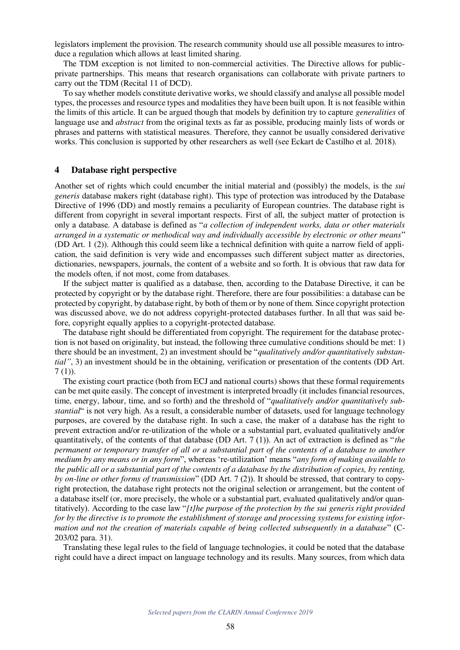legislators implement the provision. The research community should use all possible measures to introduce a regulation which allows at least limited sharing.

The TDM exception is not limited to non-commercial activities. The Directive allows for publicprivate partnerships. This means that research organisations can collaborate with private partners to carry out the TDM (Recital 11 of DCD).

To say whether models constitute derivative works, we should classify and analyse all possible model types, the processes and resource types and modalities they have been built upon. It is not feasible within the limits of this article. It can be argued though that models by definition try to capture *generalities* of language use and *abstract* from the original texts as far as possible, producing mainly lists of words or phrases and patterns with statistical measures. Therefore, they cannot be usually considered derivative works. This conclusion is supported by other researchers as well (see Eckart de Castilho et al. 2018).

#### **4 Database right perspective**

Another set of rights which could encumber the initial material and (possibly) the models, is the *sui generis* database makers right (database right). This type of protection was introduced by the Database Directive of 1996 (DD) and mostly remains a peculiarity of European countries. The database right is different from copyright in several important respects. First of all, the subject matter of protection is only a database. A database is defined as "*a collection of independent works, data or other materials arranged in a systematic or methodical way and individually accessible by electronic or other means*" (DD Art. 1 (2)). Although this could seem like a technical definition with quite a narrow field of application, the said definition is very wide and encompasses such different subject matter as directories, dictionaries, newspapers, journals, the content of a website and so forth. It is obvious that raw data for the models often, if not most, come from databases.

If the subject matter is qualified as a database, then, according to the Database Directive, it can be protected by copyright or by the database right. Therefore, there are four possibilities: a database can be protected by copyright, by database right, by both of them or by none of them. Since copyright protection was discussed above, we do not address copyright-protected databases further. In all that was said before, copyright equally applies to a copyright-protected database.

The database right should be differentiated from copyright. The requirement for the database protection is not based on originality, but instead, the following three cumulative conditions should be met: 1) there should be an investment, 2) an investment should be "*qualitatively and/or quantitatively substantial"*, 3) an investment should be in the obtaining, verification or presentation of the contents (DD Art. 7 (1)).

The existing court practice (both from ECJ and national courts) shows that these formal requirements can be met quite easily. The concept of investment is interpreted broadly (it includes financial resources, time, energy, labour, time, and so forth) and the threshold of "*qualitatively and/or quantitatively substantial*" is not very high. As a result, a considerable number of datasets, used for language technology purposes, are covered by the database right. In such a case, the maker of a database has the right to prevent extraction and/or re-utilization of the whole or a substantial part, evaluated qualitatively and/or quantitatively, of the contents of that database (DD Art. 7 (1)). An act of extraction is defined as "*the permanent or temporary transfer of all or a substantial part of the contents of a database to another medium by any means or in any form*", whereas 're-utilization' means "*any form of making available to the public all or a substantial part of the contents of a database by the distribution of copies, by renting, by on-line or other forms of transmission*" (DD Art. 7 (2)). It should be stressed, that contrary to copyright protection, the database right protects not the original selection or arrangement, but the content of a database itself (or, more precisely, the whole or a substantial part, evaluated qualitatively and/or quantitatively). According to the case law "*[t]he purpose of the protection by the sui generis right provided for by the directive is to promote the establishment of storage and processing systems for existing information and not the creation of materials capable of being collected subsequently in a database*" (C-203/02 para. 31).

Translating these legal rules to the field of language technologies, it could be noted that the database right could have a direct impact on language technology and its results. Many sources, from which data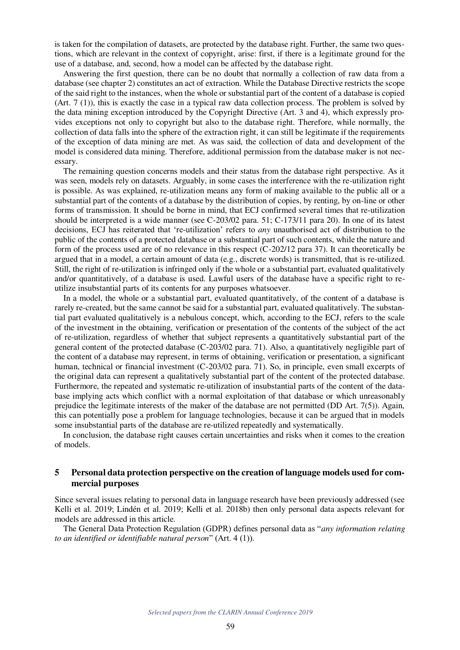is taken for the compilation of datasets, are protected by the database right. Further, the same two questions, which are relevant in the context of copyright, arise: first, if there is a legitimate ground for the use of a database, and, second, how a model can be affected by the database right.

Answering the first question, there can be no doubt that normally a collection of raw data from a database (see chapter 2) constitutes an act of extraction. While the Database Directive restricts the scope of the said right to the instances, when the whole or substantial part of the content of a database is copied (Art. 7 (1)), this is exactly the case in a typical raw data collection process. The problem is solved by the data mining exception introduced by the Copyright Directive (Art. 3 and 4), which expressly provides exceptions not only to copyright but also to the database right. Therefore, while normally, the collection of data falls into the sphere of the extraction right, it can still be legitimate if the requirements of the exception of data mining are met. As was said, the collection of data and development of the model is considered data mining. Therefore, additional permission from the database maker is not necessary.

The remaining question concerns models and their status from the database right perspective. As it was seen, models rely on datasets. Arguably, in some cases the interference with the re-utilization right is possible. As was explained, re-utilization means any form of making available to the public all or a substantial part of the contents of a database by the distribution of copies, by renting, by on-line or other forms of transmission. It should be borne in mind, that ECJ confirmed several times that re-utilization should be interpreted is a wide manner (see C-203/02 para. 51; C-173/11 para 20). In one of its latest decisions, ECJ has reiterated that 're-utilization' refers to *any* unauthorised act of distribution to the public of the contents of a protected database or a substantial part of such contents, while the nature and form of the process used are of no relevance in this respect (C-202/12 para 37). It can theoretically be argued that in a model, a certain amount of data (e.g., discrete words) is transmitted, that is re-utilized. Still, the right of re-utilization is infringed only if the whole or a substantial part, evaluated qualitatively and/or quantitatively, of a database is used. Lawful users of the database have a specific right to reutilize insubstantial parts of its contents for any purposes whatsoever.

In a model, the whole or a substantial part, evaluated quantitatively, of the content of a database is rarely re-created, but the same cannot be said for a substantial part, evaluated qualitatively. The substantial part evaluated qualitatively is a nebulous concept, which, according to the ECJ, refers to the scale of the investment in the obtaining, verification or presentation of the contents of the subject of the act of re-utilization, regardless of whether that subject represents a quantitatively substantial part of the general content of the protected database (C-203/02 para. 71). Also, a quantitatively negligible part of the content of a database may represent, in terms of obtaining, verification or presentation, a significant human, technical or financial investment (C-203/02 para. 71). So, in principle, even small excerpts of the original data can represent a qualitatively substantial part of the content of the protected database. Furthermore, the repeated and systematic re-utilization of insubstantial parts of the content of the database implying acts which conflict with a normal exploitation of that database or which unreasonably prejudice the legitimate interests of the maker of the database are not permitted (DD Art. 7(5)). Again, this can potentially pose a problem for language technologies, because it can be argued that in models some insubstantial parts of the database are re-utilized repeatedly and systematically.

In conclusion, the database right causes certain uncertainties and risks when it comes to the creation of models.

#### **5 Personal data protection perspective on the creation of language models used for commercial purposes**

Since several issues relating to personal data in language research have been previously addressed (see Kelli et al. 2019; Lindén et al. 2019; Kelli et al. 2018b) then only personal data aspects relevant for models are addressed in this article.

The General Data Protection Regulation (GDPR) defines personal data as "*any information relating to an identified or identifiable natural person*" (Art. 4 (1)).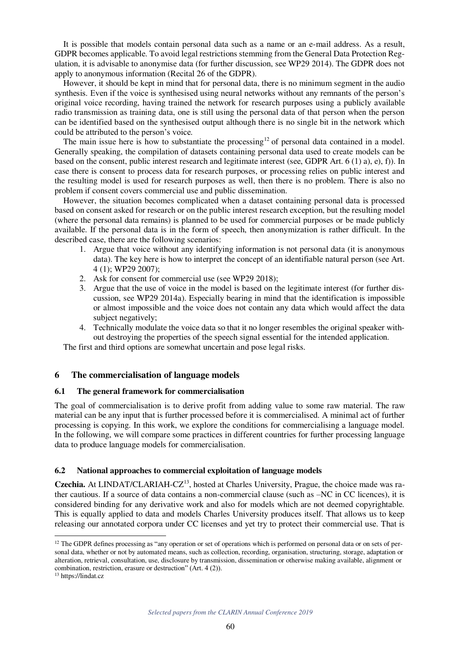It is possible that models contain personal data such as a name or an e-mail address. As a result, GDPR becomes applicable. To avoid legal restrictions stemming from the General Data Protection Regulation, it is advisable to anonymise data (for further discussion, see WP29 2014). The GDPR does not apply to anonymous information (Recital 26 of the GDPR).

However, it should be kept in mind that for personal data, there is no minimum segment in the audio synthesis. Even if the voice is synthesised using neural networks without any remnants of the person's original voice recording, having trained the network for research purposes using a publicly available radio transmission as training data, one is still using the personal data of that person when the person can be identified based on the synthesised output although there is no single bit in the network which could be attributed to the person's voice.

The main issue here is how to substantiate the processing<sup>12</sup> of personal data contained in a model. Generally speaking, the compilation of datasets containing personal data used to create models can be based on the consent, public interest research and legitimate interest (see, GDPR Art. 6 (1) a), e), f)). In case there is consent to process data for research purposes, or processing relies on public interest and the resulting model is used for research purposes as well, then there is no problem. There is also no problem if consent covers commercial use and public dissemination.

However, the situation becomes complicated when a dataset containing personal data is processed based on consent asked for research or on the public interest research exception, but the resulting model (where the personal data remains) is planned to be used for commercial purposes or be made publicly available. If the personal data is in the form of speech, then anonymization is rather difficult. In the described case, there are the following scenarios:

- 1. Argue that voice without any identifying information is not personal data (it is anonymous data). The key here is how to interpret the concept of an identifiable natural person (see Art. 4 (1); WP29 2007);
- 2. Ask for consent for commercial use (see WP29 2018);
- 3. Argue that the use of voice in the model is based on the legitimate interest (for further discussion, see WP29 2014a). Especially bearing in mind that the identification is impossible or almost impossible and the voice does not contain any data which would affect the data subject negatively;
- 4. Technically modulate the voice data so that it no longer resembles the original speaker without destroying the properties of the speech signal essential for the intended application.

The first and third options are somewhat uncertain and pose legal risks.

#### **6 The commercialisation of language models**

#### **6.1 The general framework for commercialisation**

The goal of commercialisation is to derive profit from adding value to some raw material. The raw material can be any input that is further processed before it is commercialised. A minimal act of further processing is copying. In this work, we explore the conditions for commercialising a language model. In the following, we will compare some practices in different countries for further processing language data to produce language models for commercialisation.

#### **6.2 National approaches to commercial exploitation of language models**

Czechia. At LINDAT/CLARIAH-CZ<sup>13</sup>, hosted at Charles University, Prague, the choice made was rather cautious. If a source of data contains a non-commercial clause (such as –NC in CC licences), it is considered binding for any derivative work and also for models which are not deemed copyrightable. This is equally applied to data and models Charles University produces itself. That allows us to keep releasing our annotated corpora under CC licenses and yet try to protect their commercial use. That is

 $12$  The GDPR defines processing as "any operation or set of operations which is performed on personal data or on sets of personal data, whether or not by automated means, such as collection, recording, organisation, structuring, storage, adaptation or alteration, retrieval, consultation, use, disclosure by transmission, dissemination or otherwise making available, alignment or combination, restriction, erasure or destruction" (Art. 4 (2)).

<sup>13</sup> https://lindat.cz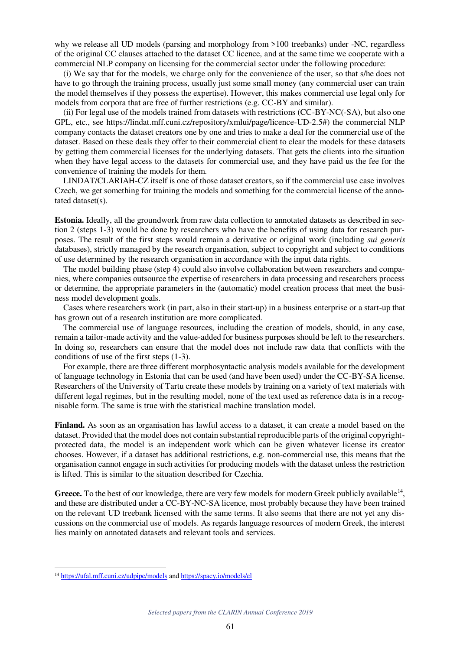why we release all UD models (parsing and morphology from >100 treebanks) under -NC, regardless of the original CC clauses attached to the dataset CC licence, and at the same time we cooperate with a commercial NLP company on licensing for the commercial sector under the following procedure:

(i) We say that for the models, we charge only for the convenience of the user, so that s/he does not have to go through the training process, usually just some small money (any commercial user can train the model themselves if they possess the expertise). However, this makes commercial use legal only for models from corpora that are free of further restrictions (e.g. CC-BY and similar).

(ii) For legal use of the models trained from datasets with restrictions (CC-BY-NC(-SA), but also one GPL, etc., see https://lindat.mff.cuni.cz/repository/xmlui/page/licence-UD-2.5#) the commercial NLP company contacts the dataset creators one by one and tries to make a deal for the commercial use of the dataset. Based on these deals they offer to their commercial client to clear the models for these datasets by getting them commercial licenses for the underlying datasets. That gets the clients into the situation when they have legal access to the datasets for commercial use, and they have paid us the fee for the convenience of training the models for them.

LINDAT/CLARIAH-CZ itself is one of those dataset creators, so if the commercial use case involves Czech, we get something for training the models and something for the commercial license of the annotated dataset(s).

**Estonia.** Ideally, all the groundwork from raw data collection to annotated datasets as described in section 2 (steps 1-3) would be done by researchers who have the benefits of using data for research purposes. The result of the first steps would remain a derivative or original work (including *sui generis* databases), strictly managed by the research organisation, subject to copyright and subject to conditions of use determined by the research organisation in accordance with the input data rights.

The model building phase (step 4) could also involve collaboration between researchers and companies, where companies outsource the expertise of researchers in data processing and researchers process or determine, the appropriate parameters in the (automatic) model creation process that meet the business model development goals.

Cases where researchers work (in part, also in their start-up) in a business enterprise or a start-up that has grown out of a research institution are more complicated.

The commercial use of language resources, including the creation of models, should, in any case, remain a tailor-made activity and the value-added for business purposes should be left to the researchers. In doing so, researchers can ensure that the model does not include raw data that conflicts with the conditions of use of the first steps (1-3).

For example, there are three different morphosyntactic analysis models available for the development of language technology in Estonia that can be used (and have been used) under the CC-BY-SA license. Researchers of the University of Tartu create these models by training on a variety of text materials with different legal regimes, but in the resulting model, none of the text used as reference data is in a recognisable form. The same is true with the statistical machine translation model.

**Finland.** As soon as an organisation has lawful access to a dataset, it can create a model based on the dataset. Provided that the model does not contain substantial reproducible parts of the original copyrightprotected data, the model is an independent work which can be given whatever license its creator chooses. However, if a dataset has additional restrictions, e.g. non-commercial use, this means that the organisation cannot engage in such activities for producing models with the dataset unless the restriction is lifted. This is similar to the situation described for Czechia.

Greece. To the best of our knowledge, there are very few models for modern Greek publicly available<sup>14</sup>, and these are distributed under a CC-BY-NC-SA licence, most probably because they have been trained on the relevant UD treebank licensed with the same terms. It also seems that there are not yet any discussions on the commercial use of models. As regards language resources of modern Greek, the interest lies mainly on annotated datasets and relevant tools and services.

<sup>&</sup>lt;sup>14</sup> https://ufal.mff.cuni.cz/udpipe/models and https://spacy.io/models/el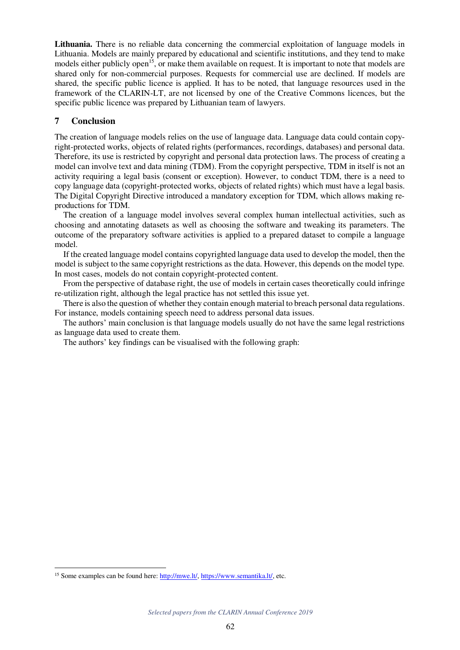**Lithuania.** There is no reliable data concerning the commercial exploitation of language models in Lithuania. Models are mainly prepared by educational and scientific institutions, and they tend to make models either publicly open<sup>15</sup>, or make them available on request. It is important to note that models are shared only for non-commercial purposes. Requests for commercial use are declined. If models are shared, the specific public licence is applied. It has to be noted, that language resources used in the framework of the CLARIN-LT, are not licensed by one of the Creative Commons licences, but the specific public licence was prepared by Lithuanian team of lawyers.

#### **7 Conclusion**

The creation of language models relies on the use of language data. Language data could contain copyright-protected works, objects of related rights (performances, recordings, databases) and personal data. Therefore, its use is restricted by copyright and personal data protection laws. The process of creating a model can involve text and data mining (TDM). From the copyright perspective, TDM in itself is not an activity requiring a legal basis (consent or exception). However, to conduct TDM, there is a need to copy language data (copyright-protected works, objects of related rights) which must have a legal basis. The Digital Copyright Directive introduced a mandatory exception for TDM, which allows making reproductions for TDM.

The creation of a language model involves several complex human intellectual activities, such as choosing and annotating datasets as well as choosing the software and tweaking its parameters. The outcome of the preparatory software activities is applied to a prepared dataset to compile a language model.

If the created language model contains copyrighted language data used to develop the model, then the model is subject to the same copyright restrictions as the data. However, this depends on the model type. In most cases, models do not contain copyright-protected content.

From the perspective of database right, the use of models in certain cases theoretically could infringe re-utilization right, although the legal practice has not settled this issue yet.

There is also the question of whether they contain enough material to breach personal data regulations. For instance, models containing speech need to address personal data issues.

The authors' main conclusion is that language models usually do not have the same legal restrictions as language data used to create them.

The authors' key findings can be visualised with the following graph:

<sup>&</sup>lt;sup>15</sup> Some examples can be found here: http://mwe.lt/, https://www.semantika.lt/, etc.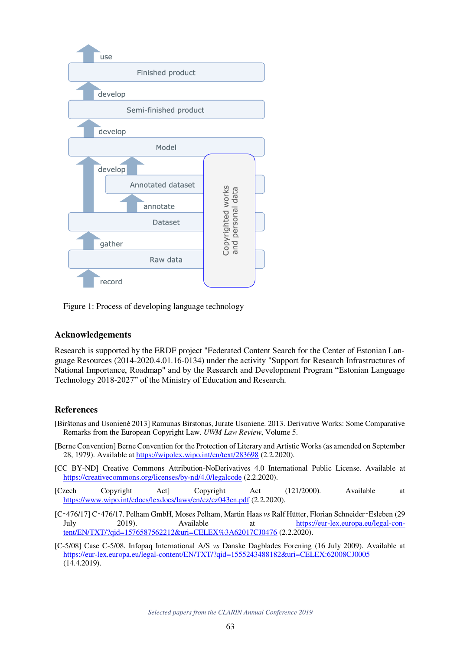

Figure 1: Process of developing language technology

### **Acknowledgements**

Research is supported by the ERDF project "Federated Content Search for the Center of Estonian Language Resources (2014-2020.4.01.16-0134) under the activity "Support for Research Infrastructures of National Importance, Roadmap" and by the Research and Development Program "Estonian Language Technology 2018-2027" of the Ministry of Education and Research.

#### **References**

- [Birštonas and Usonienė 2013] Ramunas Birstonas, Jurate Usoniene. 2013. Derivative Works: Some Comparative Remarks from the European Copyright Law. *UWM Law Review*, Volume 5.
- [Berne Convention] Berne Convention for the Protection of Literary and Artistic Works (as amended on September 28, 1979). Available at https://wipolex.wipo.int/en/text/283698 (2.2.2020).
- [CC BY-ND] Creative Commons Attribution-NoDerivatives 4.0 International Public License. Available at https://creativecommons.org/licenses/by-nd/4.0/legalcode (2.2.2020).
- [Czech Copyright Act] Copyright Act (121/2000). Available at https://www.wipo.int/edocs/lexdocs/laws/en/cz/cz043en.pdf (2.2.2020).
- [C‑476/17] C‑476/17. Pelham GmbH, Moses Pelham, Martin Haas *vs* Ralf Hütter, Florian Schneider‑Esleben (29 July 2019). Available at https://eur-lex.europa.eu/legal-content/EN/TXT/?qid=1576587562212&uri=CELEX%3A62017CJ0476 (2.2.2020).
- [C-5/08] Case C-5/08. Infopaq International A/S *vs* Danske Dagblades Forening (16 July 2009). Available at https://eur-lex.europa.eu/legal-content/EN/TXT/?qid=1555243488182&uri=CELEX:62008CJ0005 (14.4.2019).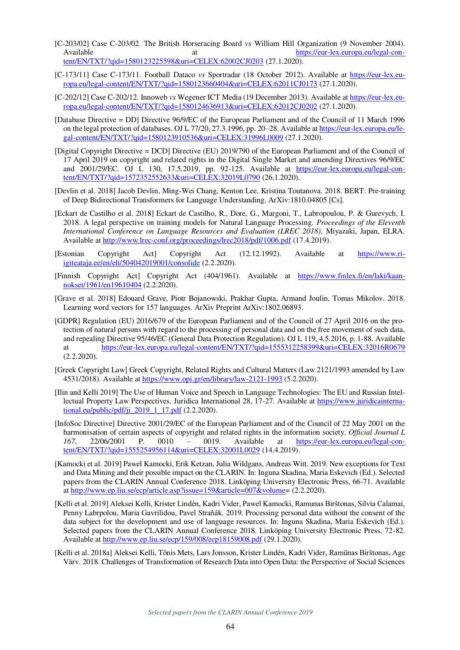- [C-203/02] Case C-203/02. The British Horseracing Board *vs* William Hill Organization (9 November 2004). Available at  $\frac{h}{dt}$  at  $\frac{h}{dt}$  at  $\frac{h}{dt}$  at  $\frac{h}{dt}$  at  $\frac{h}{dt}$  at  $\frac{h}{dt}$  at  $\frac{h}{dt}$  at  $\frac{h}{dt}$  at  $\frac{h}{dt}$  at  $\frac{h}{dt}$  at  $\frac{h}{dt}$  at  $\frac{h}{dt}$  at  $\frac{h}{dt}$  at  $\frac{h}{dt}$  at  $\frac{h}{dt}$  at  $\frac{h}{dt}$  at tent/EN/TXT/?qid=1580123225598&uri=CELEX:62002CJ0203 (27.1.2020).
- [C-173/11] Case C-173/11. Football Dataco *vs* Sportradar (18 October 2012). Available at https://eur-lex.europa.eu/legal-content/EN/TXT/?qid=1580123660404&uri=CELEX:62011CJ0173 (27.1.2020).
- [C-202/12] Case C-202/12. Innoweb *vs* Wegener ICT Media (19 December 2013). Available at https://eur-lex.europa.eu/legal-content/EN/TXT/?qid=1580124636913&uri=CELEX:62012CJ0202 (27.1.2020).
- [Database Directive = DD] Directive 96/9/EC of the European Parliament and of the Council of 11 March 1996 on the legal protection of databases. OJ L 77/20, 27.3.1996, pp. 20–28. Available at https://eur-lex.europa.eu/legal-content/EN/TXT/?qid=1580123910536&uri=CELEX:31996L0009 (27.1.2020).
- [Digital Copyright Directive = DCD] Directive (EU) 2019/790 of the European Parliament and of the Council of 17 April 2019 on copyright and related rights in the Digital Single Market and amending Directives 96/9/EC and 2001/29/EC. OJ L 130, 17.5.2019, pp. 92-125. Available at https://eur-lex.europa.eu/legal-content/EN/TXT/?qid=1572352552633&uri=CELEX:32019L0790 (26.1.2020).
- [Devlin et al. 2018] Jacob Devlin, Ming-Wei Chang, Kenton Lee, Kristina Toutanova. 2018. BERT: Pre-training of Deep Bidirectional Transformers for Language Understanding. ArXiv:1810.04805 [Cs].
- [Eckart de Castilho et al. 2018] Eckart de Castilho, R., Dore, G., Margoni, T., Labropoulou, P. & Gurevych, I. 2018. A legal perspective on training models for Natural Language Processing. *Proceedings of the Eleventh International Conference on Language Resources and Evaluation (LREC 2018)*, Miyazaki, Japan, ELRA. Available at http://www.lrec-conf.org/proceedings/lrec2018/pdf/1006.pdf (17.4.2019).
- [Estonian Copyright Act] Copyright Act (12.12.1992). Available at https://www.riigiteataja.ee/en/eli/504042019001/consolide (2.2.2020).
- [Finnish Copyright Act] Copyright Act (404/1961). Available at https://www.finlex.fi/en/laki/kaannokset/1961/en19610404 (2.2.2020).
- [Grave et al. 2018] Edouard Grave, Piotr Bojanowski, Prakhar Gupta, Armand Joulin, Tomas Mikolov. 2018. Learning word vectors for 157 languages. ArXiv Preprint ArXiv:1802.06893.
- [GDPR] Regulation (EU) 2016/679 of the European Parliament and of the Council of 27 April 2016 on the protection of natural persons with regard to the processing of personal data and on the free movement of such data, and repealing Directive 95/46/EC (General Data Protection Regulation). OJ L 119, 4.5.2016, p. 1-88. Available at https://eur-lex.europa.eu/legal-content/EN/TXT/?qid=1555312258399&uri=CELEX:32016R0679 (2.2.2020).
- [Greek Copyright Law] Greek Copyright, Related Rights and Cultural Matters (Law 2121/1993 amended by Law 4531/2018). Available at https://www.opi.gr/en/library/law-2121-1993 (5.2.2020).
- [Ilin and Kelli 2019] The Use of Human Voice and Speech in Language Technologies: The EU and Russian Intellectual Property Law Perspectives. Juridica International 28, 17-27. Available at https://www.juridicainternational.eu/public/pdf/ji $2019$  1 17.pdf (2.2.2020).
- [InfoSoc Directive] Directive 2001/29/EC of the European Parliament and of the Council of 22 May 2001 on the harmonisation of certain aspects of copyright and related rights in the information society. *Official Journal L 167*, 22/06/2001 P. 0010 – 0019. Available at https://eur-lex.europa.eu/legal-content/EN/TXT/?qid=1555254956114&uri=CELEX:32001L0029 (14.4.2019).
- [Kamocki et al. 2019] Pawel Kamocki, Erik Ketzan, Julia Wildgans, Andreas Witt. 2019. New exceptions for Text and Data Mining and their possible impact on the CLARIN. In: Inguna Skadina, Maria Eskevich (Ed.). Selected papers from the CLARIN Annual Conference 2018. Linköping University Electronic Press, 66-71. Available at http://www.ep.liu.se/ecp/article.asp?issue=159&article=007&volume= (2.2.2020).
- [Kelli et al. 2019] Aleksei Kelli, Krister Lindén, Kadri Vider, Pawel Kamocki, Ramunas Birštonas, Silvia Calamai, Penny Labrpolou, Maria Gavrilidou, Pavel Straňák. 2019. Processing personal data without the consent of the data subject for the development and use of language resources. In: Inguna Skadina, Maria Eskevich (Ed.). Selected papers from the CLARIN Annual Conference 2018. Linköping University Electronic Press, 72-82. Available at http://www.ep.liu.se/ecp/159/008/ecp18159008.pdf (29.1.2020).
- [Kelli et al. 2018a] Aleksei Kelli, Tõnis Mets, Lars Jonsson, Krister Lindén, Kadri Vider, Ramūnas Birštonas, Age Värv. 2018. Challenges of Transformation of Research Data into Open Data: the Perspective of Social Sciences